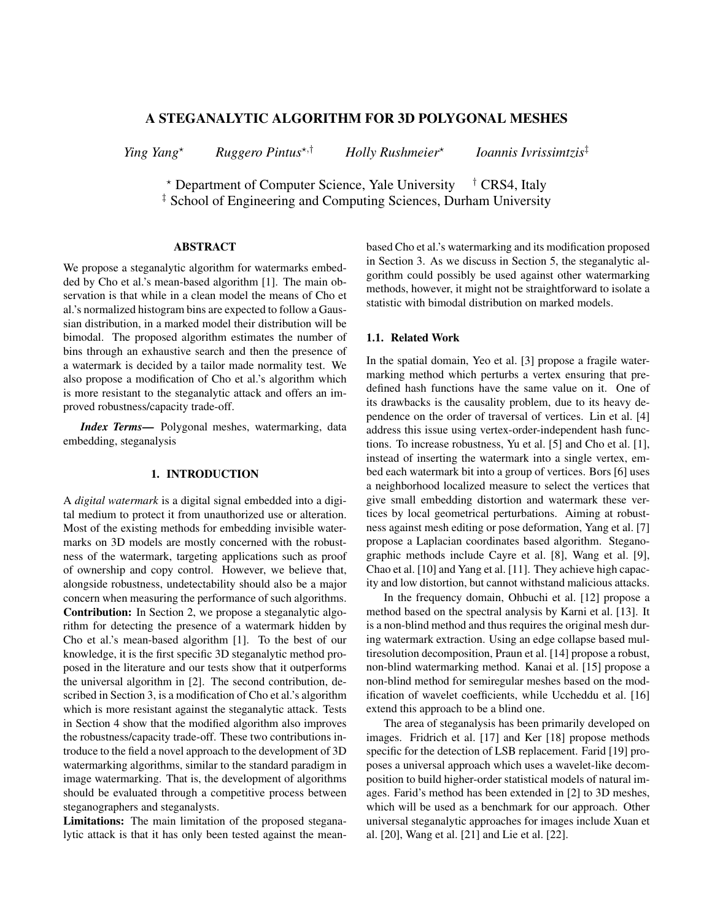# A STEGANALYTIC ALGORITHM FOR 3D POLYGONAL MESHES

*Ying Yang*? *Ruggero Pintus*?,† *Holly Rushmeier*? *Ioannis Ivrissimtzis*‡

\* Department of Computer Science, Yale University <sup>†</sup> CRS4, Italy ‡ School of Engineering and Computing Sciences, Durham University

### ABSTRACT

We propose a steganalytic algorithm for watermarks embedded by Cho et al.'s mean-based algorithm [1]. The main observation is that while in a clean model the means of Cho et al.'s normalized histogram bins are expected to follow a Gaussian distribution, in a marked model their distribution will be bimodal. The proposed algorithm estimates the number of bins through an exhaustive search and then the presence of a watermark is decided by a tailor made normality test. We also propose a modification of Cho et al.'s algorithm which is more resistant to the steganalytic attack and offers an improved robustness/capacity trade-off.

*Index Terms*— Polygonal meshes, watermarking, data embedding, steganalysis

# 1. INTRODUCTION

A *digital watermark* is a digital signal embedded into a digital medium to protect it from unauthorized use or alteration. Most of the existing methods for embedding invisible watermarks on 3D models are mostly concerned with the robustness of the watermark, targeting applications such as proof of ownership and copy control. However, we believe that, alongside robustness, undetectability should also be a major concern when measuring the performance of such algorithms. Contribution: In Section 2, we propose a steganalytic algorithm for detecting the presence of a watermark hidden by Cho et al.'s mean-based algorithm [1]. To the best of our knowledge, it is the first specific 3D steganalytic method proposed in the literature and our tests show that it outperforms the universal algorithm in [2]. The second contribution, described in Section 3, is a modification of Cho et al.'s algorithm which is more resistant against the steganalytic attack. Tests in Section 4 show that the modified algorithm also improves the robustness/capacity trade-off. These two contributions introduce to the field a novel approach to the development of 3D watermarking algorithms, similar to the standard paradigm in image watermarking. That is, the development of algorithms should be evaluated through a competitive process between steganographers and steganalysts.

Limitations: The main limitation of the proposed steganalytic attack is that it has only been tested against the meanbased Cho et al.'s watermarking and its modification proposed in Section 3. As we discuss in Section 5, the steganalytic algorithm could possibly be used against other watermarking methods, however, it might not be straightforward to isolate a statistic with bimodal distribution on marked models.

### 1.1. Related Work

In the spatial domain, Yeo et al. [3] propose a fragile watermarking method which perturbs a vertex ensuring that predefined hash functions have the same value on it. One of its drawbacks is the causality problem, due to its heavy dependence on the order of traversal of vertices. Lin et al. [4] address this issue using vertex-order-independent hash functions. To increase robustness, Yu et al. [5] and Cho et al. [1], instead of inserting the watermark into a single vertex, embed each watermark bit into a group of vertices. Bors [6] uses a neighborhood localized measure to select the vertices that give small embedding distortion and watermark these vertices by local geometrical perturbations. Aiming at robustness against mesh editing or pose deformation, Yang et al. [7] propose a Laplacian coordinates based algorithm. Steganographic methods include Cayre et al. [8], Wang et al. [9], Chao et al. [10] and Yang et al. [11]. They achieve high capacity and low distortion, but cannot withstand malicious attacks.

In the frequency domain, Ohbuchi et al. [12] propose a method based on the spectral analysis by Karni et al. [13]. It is a non-blind method and thus requires the original mesh during watermark extraction. Using an edge collapse based multiresolution decomposition, Praun et al. [14] propose a robust, non-blind watermarking method. Kanai et al. [15] propose a non-blind method for semiregular meshes based on the modification of wavelet coefficients, while Uccheddu et al. [16] extend this approach to be a blind one.

The area of steganalysis has been primarily developed on images. Fridrich et al. [17] and Ker [18] propose methods specific for the detection of LSB replacement. Farid [19] proposes a universal approach which uses a wavelet-like decomposition to build higher-order statistical models of natural images. Farid's method has been extended in [2] to 3D meshes, which will be used as a benchmark for our approach. Other universal steganalytic approaches for images include Xuan et al. [20], Wang et al. [21] and Lie et al. [22].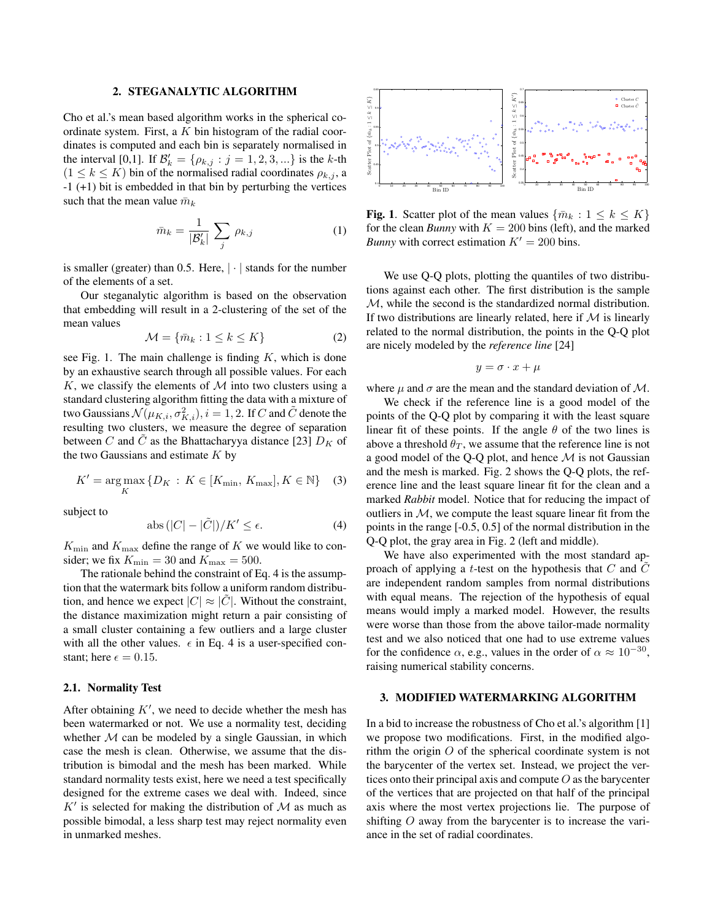## 2. STEGANALYTIC ALGORITHM

Cho et al.'s mean based algorithm works in the spherical coordinate system. First, a  $K$  bin histogram of the radial coordinates is computed and each bin is separately normalised in the interval [0,1]. If  $\mathcal{B}'_k = \{ \rho_{k,j} : j = 1, 2, 3, ...\}$  is the k-th  $(1 \leq k \leq K)$  bin of the normalised radial coordinates  $\rho_{k,j}$ , a -1 (+1) bit is embedded in that bin by perturbing the vertices such that the mean value  $\bar{m}_k$ 

$$
\bar{m}_k = \frac{1}{|\mathcal{B}'_k|} \sum_j \rho_{k,j} \tag{1}
$$

is smaller (greater) than 0.5. Here,  $|\cdot|$  stands for the number of the elements of a set.

Our steganalytic algorithm is based on the observation that embedding will result in a 2-clustering of the set of the mean values

$$
\mathcal{M} = \{\bar{m}_k : 1 \le k \le K\} \tag{2}
$$

see Fig. 1. The main challenge is finding  $K$ , which is done by an exhaustive search through all possible values. For each K, we classify the elements of  $M$  into two clusters using a standard clustering algorithm fitting the data with a mixture of two Gaussians  $\mathcal{N}(\mu_{K,i}, \sigma^2_{K,i}), i=1,2.$  If  $C$  and  $\tilde{C}$  denote the resulting two clusters, we measure the degree of separation between C and  $\tilde{C}$  as the Bhattacharyya distance [23]  $D_K$  of the two Gaussians and estimate  $K$  by

$$
K' = \underset{K}{\text{arg}\max} \left\{ D_K \, : \, K \in [K_{\min}, \, K_{\max}], K \in \mathbb{N} \right\} \quad (3)
$$

subject to

$$
abs(|C| - |\tilde{C}|)/K' \le \epsilon. \tag{4}
$$

 $K_{\text{min}}$  and  $K_{\text{max}}$  define the range of K we would like to consider; we fix  $K_{\text{min}} = 30$  and  $K_{\text{max}} = 500$ .

The rationale behind the constraint of Eq. 4 is the assumption that the watermark bits follow a uniform random distribution, and hence we expect  $|C| \approx |C|$ . Without the constraint, the distance maximization might return a pair consisting of a small cluster containing a few outliers and a large cluster with all the other values.  $\epsilon$  in Eq. 4 is a user-specified constant; here  $\epsilon = 0.15$ .

#### 2.1. Normality Test

After obtaining  $K'$ , we need to decide whether the mesh has been watermarked or not. We use a normality test, deciding whether  $M$  can be modeled by a single Gaussian, in which case the mesh is clean. Otherwise, we assume that the distribution is bimodal and the mesh has been marked. While standard normality tests exist, here we need a test specifically designed for the extreme cases we deal with. Indeed, since  $K'$  is selected for making the distribution of  $M$  as much as possible bimodal, a less sharp test may reject normality even in unmarked meshes.



**Fig. 1.** Scatter plot of the mean values  $\{\bar{m}_k : 1 \leq k \leq K\}$ for the clean *Bunny* with  $K = 200$  bins (left), and the marked *Bunny* with correct estimation  $K' = 200$  bins.

We use Q-Q plots, plotting the quantiles of two distributions against each other. The first distribution is the sample M, while the second is the standardized normal distribution. If two distributions are linearly related, here if  $M$  is linearly related to the normal distribution, the points in the Q-Q plot are nicely modeled by the *reference line* [24]

$$
y=\sigma\cdot x+\mu
$$

where  $\mu$  and  $\sigma$  are the mean and the standard deviation of M.

We check if the reference line is a good model of the points of the Q-Q plot by comparing it with the least square linear fit of these points. If the angle  $\theta$  of the two lines is above a threshold  $\theta_T$ , we assume that the reference line is not a good model of the Q-Q plot, and hence  $\mathcal M$  is not Gaussian and the mesh is marked. Fig. 2 shows the Q-Q plots, the reference line and the least square linear fit for the clean and a marked *Rabbit* model. Notice that for reducing the impact of outliers in  $M$ , we compute the least square linear fit from the points in the range [-0.5, 0.5] of the normal distribution in the Q-Q plot, the gray area in Fig. 2 (left and middle).

We have also experimented with the most standard approach of applying a  $t$ -test on the hypothesis that  $C$  and  $C$ are independent random samples from normal distributions with equal means. The rejection of the hypothesis of equal means would imply a marked model. However, the results were worse than those from the above tailor-made normality test and we also noticed that one had to use extreme values for the confidence  $\alpha$ , e.g., values in the order of  $\alpha \approx 10^{-30}$ , raising numerical stability concerns.

# 3. MODIFIED WATERMARKING ALGORITHM

In a bid to increase the robustness of Cho et al.'s algorithm [1] we propose two modifications. First, in the modified algorithm the origin  $O$  of the spherical coordinate system is not the barycenter of the vertex set. Instead, we project the vertices onto their principal axis and compute  $O$  as the barycenter of the vertices that are projected on that half of the principal axis where the most vertex projections lie. The purpose of shifting O away from the barycenter is to increase the variance in the set of radial coordinates.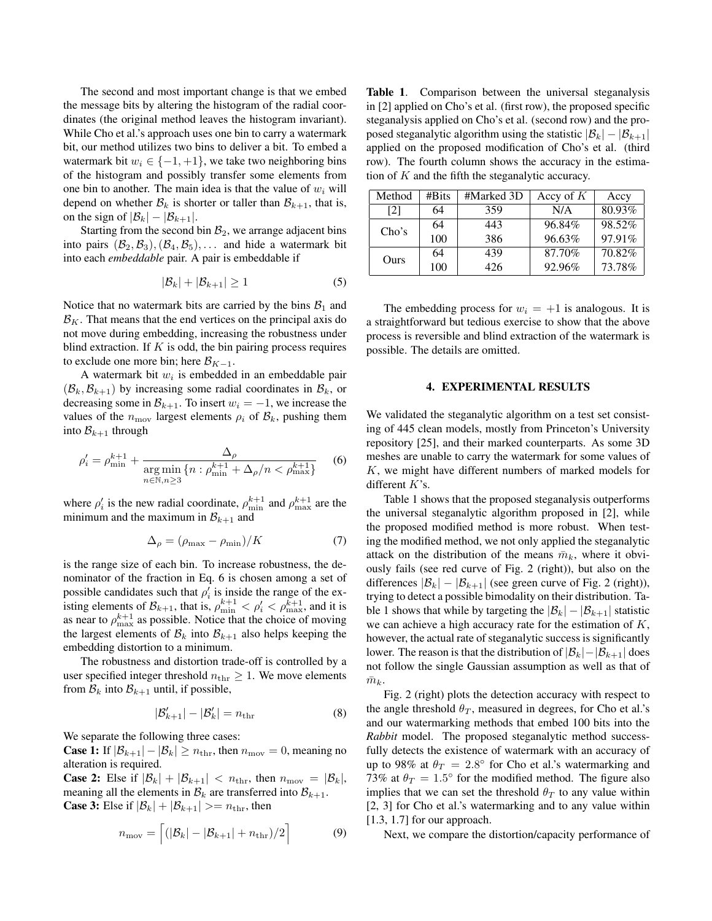The second and most important change is that we embed the message bits by altering the histogram of the radial coordinates (the original method leaves the histogram invariant). While Cho et al.'s approach uses one bin to carry a watermark bit, our method utilizes two bins to deliver a bit. To embed a watermark bit  $w_i \in \{-1, +1\}$ , we take two neighboring bins of the histogram and possibly transfer some elements from one bin to another. The main idea is that the value of  $w_i$  will depend on whether  $\mathcal{B}_k$  is shorter or taller than  $\mathcal{B}_{k+1}$ , that is, on the sign of  $|\mathcal{B}_k| - |\mathcal{B}_{k+1}|$ .

Starting from the second bin  $B_2$ , we arrange adjacent bins into pairs  $(\mathcal{B}_2, \mathcal{B}_3), (\mathcal{B}_4, \mathcal{B}_5), \ldots$  and hide a watermark bit into each *embeddable* pair. A pair is embeddable if

$$
|\mathcal{B}_k| + |\mathcal{B}_{k+1}| \ge 1 \tag{5}
$$

Notice that no watermark bits are carried by the bins  $B_1$  and  $\mathcal{B}_K$ . That means that the end vertices on the principal axis do not move during embedding, increasing the robustness under blind extraction. If  $K$  is odd, the bin pairing process requires to exclude one more bin; here  $\mathcal{B}_{K-1}$ .

A watermark bit  $w_i$  is embedded in an embeddable pair  $(\mathcal{B}_k, \mathcal{B}_{k+1})$  by increasing some radial coordinates in  $\mathcal{B}_k$ , or decreasing some in  $\mathcal{B}_{k+1}$ . To insert  $w_i = -1$ , we increase the values of the  $n_{\text{mov}}$  largest elements  $\rho_i$  of  $\mathcal{B}_k$ , pushing them into  $\mathcal{B}_{k+1}$  through

$$
\rho_i' = \rho_{\min}^{k+1} + \frac{\Delta_\rho}{\underset{n \in \mathbb{N}, n \ge 3}{\arg \min} \{ n : \rho_{\min}^{k+1} + \Delta_\rho / n < \rho_{\max}^{k+1} \}} \tag{6}
$$

where  $\rho'_i$  is the new radial coordinate,  $\rho_{\min}^{k+1}$  and  $\rho_{\max}^{k+1}$  are the minimum and the maximum in  $\mathcal{B}_{k+1}$  and

$$
\Delta_{\rho} = (\rho_{\text{max}} - \rho_{\text{min}})/K \tag{7}
$$

is the range size of each bin. To increase robustness, the denominator of the fraction in Eq. 6 is chosen among a set of possible candidates such that  $\rho'_i$  is inside the range of the existing elements of  $\mathcal{B}_{k+1}$ , that is,  $\rho_{\min}^{k+1} < \rho_i' < \rho_{\max}^{k+1}$ , and it is as near to  $\rho_{\text{max}}^{k+1}$  as possible. Notice that the choice of moving the largest elements of  $\mathcal{B}_k$  into  $\mathcal{B}_{k+1}$  also helps keeping the embedding distortion to a minimum.

The robustness and distortion trade-off is controlled by a user specified integer threshold  $n_{\text{thr}} \geq 1$ . We move elements from  $\mathcal{B}_k$  into  $\mathcal{B}_{k+1}$  until, if possible,

$$
|\mathcal{B}'_{k+1}| - |\mathcal{B}'_{k}| = n_{\text{thr}} \tag{8}
$$

We separate the following three cases:

**Case 1:** If  $|\mathcal{B}_{k+1}| - |\mathcal{B}_k| \ge n_{\text{thr}}$ , then  $n_{\text{mov}} = 0$ , meaning no alteration is required.

**Case 2:** Else if  $|\mathcal{B}_k| + |\mathcal{B}_{k+1}| < n_{\text{thr}}$ , then  $n_{\text{mov}} = |\mathcal{B}_k|$ , meaning all the elements in  $\mathcal{B}_k$  are transferred into  $\mathcal{B}_{k+1}$ . **Case 3:** Else if  $|\mathcal{B}_k| + |\mathcal{B}_{k+1}| > = n_{\text{thr}}$ , then

$$
n_{\text{mov}} = \left[ (|\mathcal{B}_k| - |\mathcal{B}_{k+1}| + n_{\text{thr}})/2 \right] \tag{9}
$$

Table 1. Comparison between the universal steganalysis in [2] applied on Cho's et al. (first row), the proposed specific steganalysis applied on Cho's et al. (second row) and the proposed steganalytic algorithm using the statistic  $|\mathcal{B}_k| - |\mathcal{B}_{k+1}|$ applied on the proposed modification of Cho's et al. (third row). The fourth column shows the accuracy in the estimation of  $K$  and the fifth the steganalytic accuracy.

| Method | #Bits | #Marked 3D | Accy of $K$ | Accy   |
|--------|-------|------------|-------------|--------|
| [2]    | 64    | 359        | N/A         | 80.93% |
| Cho's  | 64    | 443        | 96.84%      | 98.52% |
|        | 100   | 386        | 96.63%      | 97.91% |
| Ours   | 64    | 439        | 87.70%      | 70.82% |
|        | 100   | 426        | 92.96%      | 73.78% |

The embedding process for  $w_i = +1$  is analogous. It is a straightforward but tedious exercise to show that the above process is reversible and blind extraction of the watermark is possible. The details are omitted.

### 4. EXPERIMENTAL RESULTS

We validated the steganalytic algorithm on a test set consisting of 445 clean models, mostly from Princeton's University repository [25], and their marked counterparts. As some 3D meshes are unable to carry the watermark for some values of K, we might have different numbers of marked models for different K's.

Table 1 shows that the proposed steganalysis outperforms the universal steganalytic algorithm proposed in [2], while the proposed modified method is more robust. When testing the modified method, we not only applied the steganalytic attack on the distribution of the means  $\bar{m}_k$ , where it obviously fails (see red curve of Fig. 2 (right)), but also on the differences  $|\mathcal{B}_k| - |\mathcal{B}_{k+1}|$  (see green curve of Fig. 2 (right)), trying to detect a possible bimodality on their distribution. Table 1 shows that while by targeting the  $|\mathcal{B}_k| - |\mathcal{B}_{k+1}|$  statistic we can achieve a high accuracy rate for the estimation of K, however, the actual rate of steganalytic success is significantly lower. The reason is that the distribution of  $|\mathcal{B}_k|-|\mathcal{B}_{k+1}|$  does not follow the single Gaussian assumption as well as that of  $\bar{m}_k$ .

Fig. 2 (right) plots the detection accuracy with respect to the angle threshold  $\theta_T$ , measured in degrees, for Cho et al.'s and our watermarking methods that embed 100 bits into the *Rabbit* model. The proposed steganalytic method successfully detects the existence of watermark with an accuracy of up to 98% at  $\theta_T = 2.8^{\circ}$  for Cho et al.'s watermarking and 73% at  $\theta_T = 1.5^{\circ}$  for the modified method. The figure also implies that we can set the threshold  $\theta_T$  to any value within [2, 3] for Cho et al.'s watermarking and to any value within [1.3, 1.7] for our approach.

Next, we compare the distortion/capacity performance of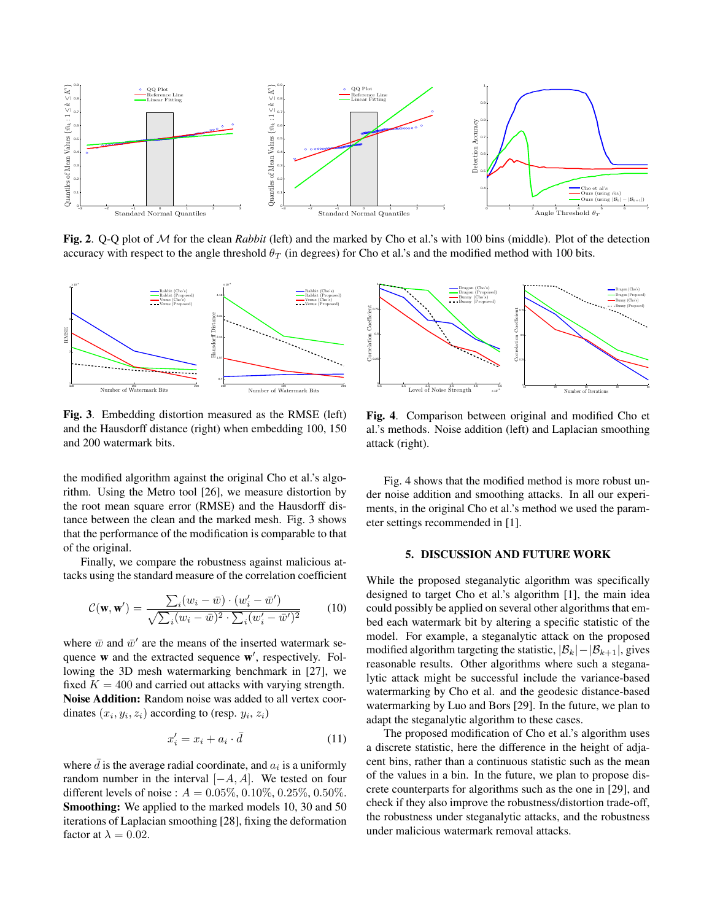

Fig. 2. Q-Q plot of M for the clean *Rabbit* (left) and the marked by Cho et al.'s with 100 bins (middle). Plot of the detection accuracy with respect to the angle threshold  $\theta_T$  (in degrees) for Cho et al.'s and the modified method with 100 bits.



Fig. 3. Embedding distortion measured as the RMSE (left) and the Hausdorff distance (right) when embedding 100, 150 and 200 watermark bits.

the modified algorithm against the original Cho et al.'s algorithm. Using the Metro tool [26], we measure distortion by the root mean square error (RMSE) and the Hausdorff distance between the clean and the marked mesh. Fig. 3 shows that the performance of the modification is comparable to that of the original.

Finally, we compare the robustness against malicious attacks using the standard measure of the correlation coefficient

$$
\mathcal{C}(\mathbf{w}, \mathbf{w}') = \frac{\sum_{i} (w_i - \bar{w}) \cdot (w'_i - \bar{w}')}{\sqrt{\sum_{i} (w_i - \bar{w})^2 \cdot \sum_{i} (w'_i - \bar{w}')^2}} \tag{10}
$$

where  $\bar{w}$  and  $\bar{w}'$  are the means of the inserted watermark sequence  $w$  and the extracted sequence  $w'$ , respectively. Following the 3D mesh watermarking benchmark in [27], we fixed  $K = 400$  and carried out attacks with varying strength. Noise Addition: Random noise was added to all vertex coordinates  $(x_i, y_i, z_i)$  according to (resp.  $y_i, z_i$ )

$$
x_i' = x_i + a_i \cdot \bar{d} \tag{11}
$$

where  $\bar{d}$  is the average radial coordinate, and  $a_i$  is a uniformly random number in the interval  $[-A, A]$ . We tested on four different levels of noise :  $A = 0.05\%, 0.10\%, 0.25\%, 0.50\%$ . Smoothing: We applied to the marked models 10, 30 and 50 iterations of Laplacian smoothing [28], fixing the deformation factor at  $\lambda = 0.02$ .



Fig. 4. Comparison between original and modified Cho et al.'s methods. Noise addition (left) and Laplacian smoothing attack (right).

Fig. 4 shows that the modified method is more robust under noise addition and smoothing attacks. In all our experiments, in the original Cho et al.'s method we used the parameter settings recommended in [1].

#### 5. DISCUSSION AND FUTURE WORK

While the proposed steganalytic algorithm was specifically designed to target Cho et al.'s algorithm [1], the main idea could possibly be applied on several other algorithms that embed each watermark bit by altering a specific statistic of the model. For example, a steganalytic attack on the proposed modified algorithm targeting the statistic,  $|\mathcal{B}_k| - |\mathcal{B}_{k+1}|$ , gives reasonable results. Other algorithms where such a steganalytic attack might be successful include the variance-based watermarking by Cho et al. and the geodesic distance-based watermarking by Luo and Bors [29]. In the future, we plan to adapt the steganalytic algorithm to these cases.

The proposed modification of Cho et al.'s algorithm uses a discrete statistic, here the difference in the height of adjacent bins, rather than a continuous statistic such as the mean of the values in a bin. In the future, we plan to propose discrete counterparts for algorithms such as the one in [29], and check if they also improve the robustness/distortion trade-off, the robustness under steganalytic attacks, and the robustness under malicious watermark removal attacks.